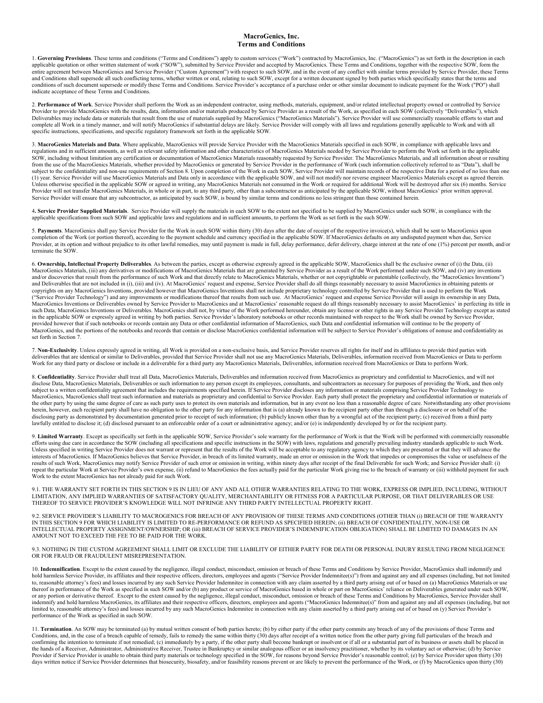## **MacroGenics, Inc. Terms and Conditions**

1. Governing Provisions. These terms and conditions ("Terms and Conditions") apply to custom services ("Work") contracted by MacroGenics, Inc. ("MacroGenics") as set forth in the description in each applicable quotation or other written statement of work ("SOW"), submitted by Service Provider and accepted by MacroGenics. These Terms and Conditions, together with the respective SOW, form the entire agreement between MacroGenics and Service Provider ("Custom Agreement") with respect to such SOW, and in the event of any conflict with similar terms provided by Service Provider, these Terms and Conditions shall supersede all such conflicting terms, whether written or oral, relating to such SOW, except for a written document signed by both parties which specifically states that the terms and<br>conditions of such indicate acceptance of these Terms and Conditions.

2. Performance of Work. Service Provider shall perform the Work as an independent contractor, using methods, materials, equipment, and/or related intellectual property owned or controlled by Service<br>Provider to provide Mac Deliverables may include data or materials that result from the use of materials supplied by MacroGenics ("MacroGenics Materials"). Service Provider will use commercially reasonable efforts to start and complete all Work in a timely manner, and will notify MacroGenics if substantial delays are likely. Service Provider will comply with all laws and regulations generally applicable to Work and with all complete all Work in specific instructions, specifications, and specific regulatory framework set forth in the applicable SOW.

3. **MacroGenics Materials and Data**. Where applicable, MacroGenics will provide Service Provider with the MacroGenics Materials specified in each SOW, in compliance with applicable laws and regulations and in sufficient amounts, as well as relevant safety information and other characteristics of MacroGenics Materials needed by Service Provider to perform the Work set forth in the applicable<br>SOW, including wit subject to the confidentiality and non-use requirements of Section 8. Upon completion of the Work in each SOW, Service Provider will maintain records of the respective Data for a period of no less than one (1) year. Service Provider will use MacroGenics Materials and Data only in accordance with the applicable SOW, and will not modify nor reverse engineer MacroGenics Materials except as agreed therein. Unless otherwise specified in the applicable SOW or agreed in writing, any MacroGenics Materials not consumed in the Work or required for additional Work will be destroyed after six (6) months. Service Provider will not transfer MacroGenics Materials, in whole or in part, to any third party, other than a subcontractor as anticipated by the applicable SOW, without MacroGenics' prior written approval. Service Provider will ensure that any subcontractor, as anticipated by such SOW, is bound by similar terms and conditions no less stringent than those contained herein.

4**. Service Provider Supplied Materials**. Service Provider will supply the materials in each SOW to the extent not specified to be supplied by MacroGenics under such SOW, in compliance with the applicable specifications from such SOW and applicable laws and regulations and in sufficient amounts, to perform the Work as set forth in the such SOW.

5. Payments. MacroGenics shall pay Service Provider for the Work in each SOW within thirty (30) days after the date of receipt of the respective invoice(s), which shall be sent to MacroGenics upon completion of the Work (o terminate the SOW.

6. **Ownership, Intellectual Property Deliverables**. As between the parties, except as otherwise expressly agreed in the applicable SOW, MacroGenics shall be the exclusive owner of (i) the Data, (ii) MacroGenics Materials, (iii) any derivatives or modifications of MacroGenics Materials that are generated by Service Provider as a result of the Work performed under such SOW, and (iv) any inventions and/or discoveries that result from the performance of such Work and that directly relate to MacroGenics Materials, whether or not copyrightable or patentable (collectively, the "MacroGenics Inventions") and Deliverables t copyrights on any MacroGenics Inventions, provided however that MacroGenics Inventions shall not include proprietary technology controlled by Service Provider that is used to perform the Work ("Service Provider Technology") and any improvements or modifications thereof that results from such use. At MacroGenics' request and expense Service Provider will assign its ownership in any Data, MacroGenics Inventions or Deliverables owned by Service Provider to MacroGenics and at MacroGenics' reasonable request do all things reasonably necessary to assist MacroGenics' in perfecting its title in such Data, MacroGenics Inventions or Deliverables. MacroGenics shall not, by virtue of the Work performed hereunder, obtain any license or other rights in any Service Provider Technology except as stated stated in the applicable SOW or expressly agreed in writing by both parties. Service Provider's laboratory notebooks or other records maintained with respect to the Work shall be owned by Service Provider, the applicable SOW or e provided however that if such notebooks or records contain any Data or other confidential information of MacroGenics, such Data and confidential information will continue to be the property of MacroGenics, and the portions of the notebooks and records that contain or disclose MacroGenics confidential information will be subject to Service Provider's obligations of nonuse and confidentiality as set forth in Section 7.

7. **Non-Exclusivity**. Unless expressly agreed in writing, all Work is provided on a non-exclusive basis, and Service Provider reserves all rights for itself and its affiliates to provide third parties with deliverables that are identical or similar to Deliverables, provided that Service Provider shall not use any MacroGenics Materials, Deliverables, information received from MacroGenics or Data to perform Work for any third party or disclose or include in a deliverable for a third party any MacroGenics Materials, Deliverables, information received from MacroGenics or Data to perform Work.

8. **Confidentiality**. Service Provider shall treat all Data, MacroGenics Materials, Deliverables and information received from MacroGenics as proprietary and confidential to MacroGenics, and will not disclose Data, MacroGenics Materials, Deliverables or such information to any person except its employees, consultants, and subcontractors as necessary for purposes of providing the Work, and then only subject to a written confidentiality agreement that includes the requirements specified herein. If Service Provider discloses any information or materials comprising Service Provider Technology to MacroGenics, MacroGenics shall treat such information and materials as proprietary and confidential to Service Provider. Each party shall protect the proprietary and confidential information or materials of MacroGenics, Ma the other party by using the same degree of care as such party uses to protect its own materials and information, but in any event no less than a reasonable degree of care. Notwithstanding any other provisions herein, however, each recipient party shall have no obligation to the other party for any information that is (a) already known to the recipient party other than through a disclosure or on behalf of the disclosing party as demonstrated by documentation generated prior to receipt of such information; (b) publicly known other than by a wrongful act of the recipient party; (c) received from a third party lawfully entitled to disclose it; (d) disclosed pursuant to an enforceable order of a court or administrative agency; and/or (e) is independently developed by or for the recipient party.

9. Limited Warranty. Except as specifically set forth in the applicable SOW, Service Provider's sole warranty for the performance of Work is that the Work will be performed with commercially reasonable<br>efforts using due ca Unless specified in writing Service Provider does not warrant or represent that the results of the Work will be acceptable to any regulatory agency to which they are presented or that they will advance the interests of MacroGenics. If MacroGenics believes that Service Provider, in breach of its limited warranty, made an error or omission in the Work that impedes or compromises the value or usefulness of the results of such Work, MacroGenics may notify Service Provider of such error or omission in writing, within ninety days after receipt of the final Deliverable for such Work; and Service Provider shall: (i)<br>repeat the partic

9.1. THE WARRANTY SET FORTH IN THIS SECTION 9 IS IN LIEU OF ANY AND ALL OTHER WARRANTIES RELATING TO THE WORK, EXPRESS OR IMPLIED, INCLUDING, WITHOUT<br>LIMITATION, ANY IMPLIED WARRANTIES OF SATISFACTORY QUALITY, MERCHANTABIL

9.2. SERVICE PROVIDER'S LIABILITY TO MACROGENICS FOR BREACH OF ANY PROVISION OF THESE TERMS AND CONDITIONS (OTHER THAN (i) BREACH OF THE WARRANTY IN THIS SECTION 9 FOR WHICH LIABILITY IS LIMITED TO RE-PERFORMANCE OR REFUND AS SPECIFIED HEREIN; (ii) BREACH OF CONFIDENTIALITY, NON-USE OR INTELLECTUAL PROPERTY ASSIGNMENT/OWNERSHIP; OR (iii) BREACH OF SERVICE PROVIDER'S INDEMNIFICATION OBLIGATION) SHALL BE LIMITED TO DAMAGES IN AN AMOUNT NOT TO EXCEED THE FEE TO BE PAID FOR THE WORK.

9.3. NOTHING IN THE CUSTOM AGREEMENT SHALL LIMIT OR EXCLUDE THE LIABILITY OF EITHER PARTY FOR DEATH OR PERSONAL INJURY RESULTING FROM NEGLIGENCE OR FOR FRAUD OR FRAUDULENT MISREPRESENTATION.

10. **Indemnification**. Except to the extent caused by the negligence, illegal conduct, misconduct, omission or breach of these Terms and Conditions by Service Provider, MacroGenics shall indemnify and hold harmless Service Provider, its affiliates and their respective officers, directors, employees and agents ("Service Provider Indemnitee(s)") from and against any and all expenses (including, but not limited to, reasonable attorney's fees) and losses incurred by any such Service Provider Indemnitee in connection with any claim asserted by a third party arising out of or based on (a) MacroGenics Materials or use<br>thereof in perf indemnify and hold harmless MacroGenics, its affiliates and their respective officers, directors, employees and agents ("MacroGenics Indemnitee(s)" from and against any and all expenses (including, but not limited to, reasonable attorney's fees) and losses incurred by any such MacroGenics Indemnitee in connection with any claim asserted by a third party arising out of or based on (y) Service Provider's performance of the Work as specified in such SOW.

11. Termination. An SOW may be terminated (a) by mutual written consent of both parties hereto; (b) by either party if the other party commits any breach of any of the provisions of these Terms and Conditions, and, in the case of a breach capable of remedy, fails to remedy the same within thirty (30) days after receipt of a written notice from the other party giving full particulars of the breach and confirming the i the hands of a Receiver, Administrator, Administrative Receiver, Trustee in Bankruptcy or similar analogous officer or an insolvency practitioner, whether by its voluntary act or otherwise; (d) by Service Provider if Service Provider is unable to obtain third party materials or technology specified in the SOW, for reasons beyond Service Provider's reasonable control; (e) by Service Provider upon thirty (30) days written notice if Service Provider determines that biosecurity, biosafety, and/or feasibility reasons prevent or are likely to prevent the performance of the Work, or (f) by MacroGenics upon thirty (30)